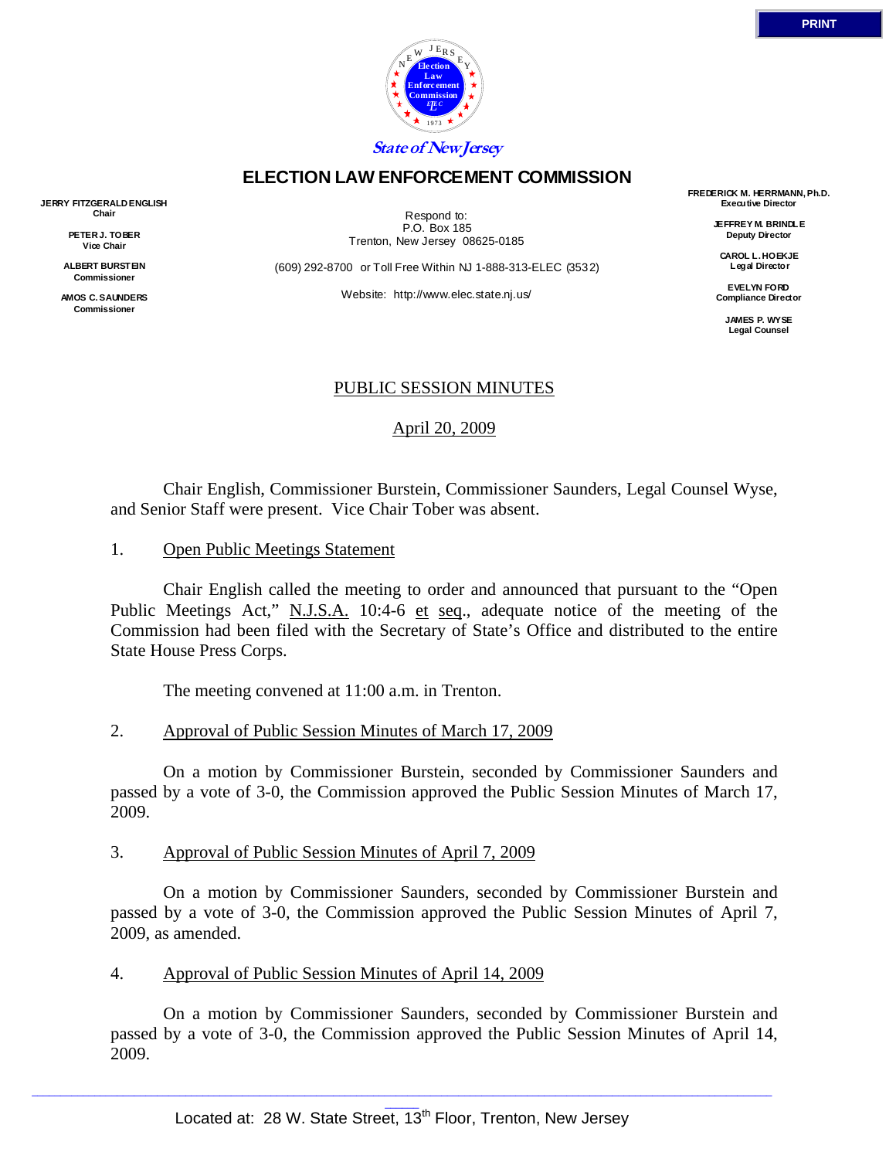

## **ELECTION LAW ENFORCEMENT COMMISSION**

**JERRY FITZGERALD ENGLISH Chair** 

> **PETER J. TOBER Vice Chair**

**ALBERT BURSTEIN Commissioner** 

**AMOS C. SAUNDERS Commissioner** 

Respond to: P.O. Box 185 Trenton, New Jersey 08625-0185

(609) 292-8700 or Toll Free Within NJ 1-888-313-ELEC (3532)

Website: http://www.elec.state.nj.us/

**FREDERICK M. HERRMANN, Ph.D. Executive Director** 

> **JEFFREY M. BRINDLE Deputy Director**

**CAROL L. HOEKJE Legal Director** 

**EVELYN FORD Compliance Director** 

> **JAMES P. WYSE Legal Counsel**

## PUBLIC SESSION MINUTES

April 20, 2009

 Chair English, Commissioner Burstein, Commissioner Saunders, Legal Counsel Wyse, and Senior Staff were present. Vice Chair Tober was absent.

1. Open Public Meetings Statement

 Chair English called the meeting to order and announced that pursuant to the "Open Public Meetings Act," N.J.S.A. 10:4-6 et seq., adequate notice of the meeting of the Commission had been filed with the Secretary of State's Office and distributed to the entire State House Press Corps.

The meeting convened at 11:00 a.m. in Trenton.

## 2. Approval of Public Session Minutes of March 17, 2009

 On a motion by Commissioner Burstein, seconded by Commissioner Saunders and passed by a vote of 3-0, the Commission approved the Public Session Minutes of March 17, 2009.

## 3. Approval of Public Session Minutes of April 7, 2009

 On a motion by Commissioner Saunders, seconded by Commissioner Burstein and passed by a vote of 3-0, the Commission approved the Public Session Minutes of April 7, 2009, as amended.

## 4. Approval of Public Session Minutes of April 14, 2009

 On a motion by Commissioner Saunders, seconded by Commissioner Burstein and passed by a vote of 3-0, the Commission approved the Public Session Minutes of April 14, 2009.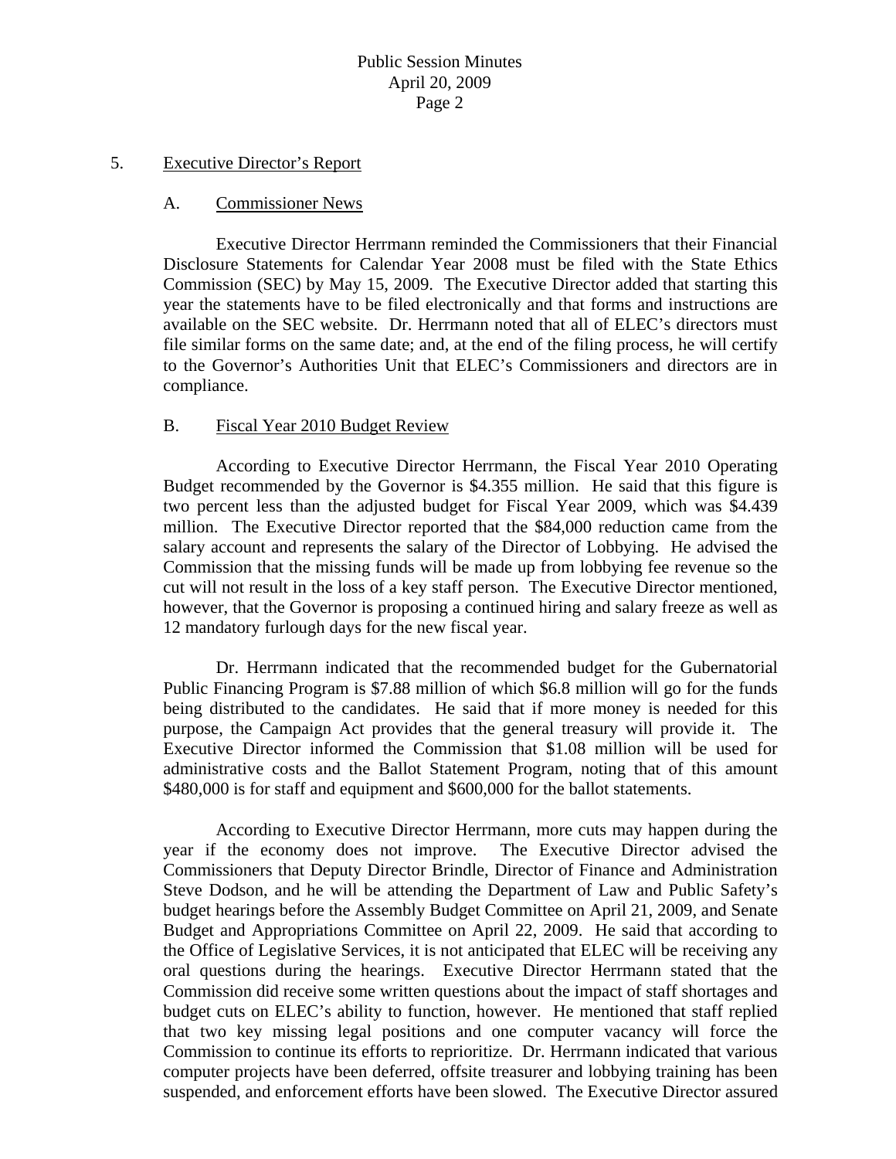#### 5. Executive Director's Report

#### A. Commissioner News

 Executive Director Herrmann reminded the Commissioners that their Financial Disclosure Statements for Calendar Year 2008 must be filed with the State Ethics Commission (SEC) by May 15, 2009. The Executive Director added that starting this year the statements have to be filed electronically and that forms and instructions are available on the SEC website. Dr. Herrmann noted that all of ELEC's directors must file similar forms on the same date; and, at the end of the filing process, he will certify to the Governor's Authorities Unit that ELEC's Commissioners and directors are in compliance.

#### B. Fiscal Year 2010 Budget Review

 According to Executive Director Herrmann, the Fiscal Year 2010 Operating Budget recommended by the Governor is \$4.355 million. He said that this figure is two percent less than the adjusted budget for Fiscal Year 2009, which was \$4.439 million. The Executive Director reported that the \$84,000 reduction came from the salary account and represents the salary of the Director of Lobbying. He advised the Commission that the missing funds will be made up from lobbying fee revenue so the cut will not result in the loss of a key staff person. The Executive Director mentioned, however, that the Governor is proposing a continued hiring and salary freeze as well as 12 mandatory furlough days for the new fiscal year.

 Dr. Herrmann indicated that the recommended budget for the Gubernatorial Public Financing Program is \$7.88 million of which \$6.8 million will go for the funds being distributed to the candidates. He said that if more money is needed for this purpose, the Campaign Act provides that the general treasury will provide it. The Executive Director informed the Commission that \$1.08 million will be used for administrative costs and the Ballot Statement Program, noting that of this amount \$480,000 is for staff and equipment and \$600,000 for the ballot statements.

 According to Executive Director Herrmann, more cuts may happen during the year if the economy does not improve. The Executive Director advised the Commissioners that Deputy Director Brindle, Director of Finance and Administration Steve Dodson, and he will be attending the Department of Law and Public Safety's budget hearings before the Assembly Budget Committee on April 21, 2009, and Senate Budget and Appropriations Committee on April 22, 2009. He said that according to the Office of Legislative Services, it is not anticipated that ELEC will be receiving any oral questions during the hearings. Executive Director Herrmann stated that the Commission did receive some written questions about the impact of staff shortages and budget cuts on ELEC's ability to function, however. He mentioned that staff replied that two key missing legal positions and one computer vacancy will force the Commission to continue its efforts to reprioritize. Dr. Herrmann indicated that various computer projects have been deferred, offsite treasurer and lobbying training has been suspended, and enforcement efforts have been slowed. The Executive Director assured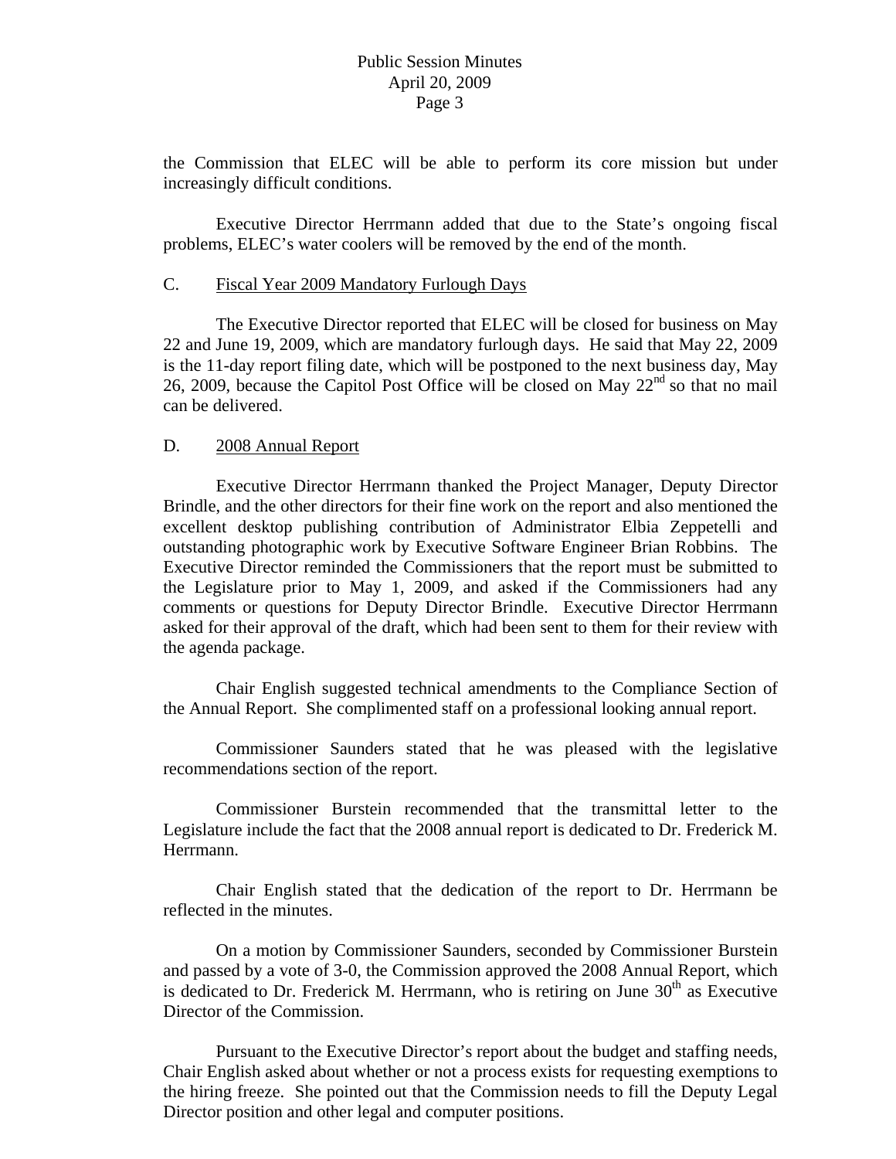the Commission that ELEC will be able to perform its core mission but under increasingly difficult conditions.

 Executive Director Herrmann added that due to the State's ongoing fiscal problems, ELEC's water coolers will be removed by the end of the month.

#### C. Fiscal Year 2009 Mandatory Furlough Days

 The Executive Director reported that ELEC will be closed for business on May 22 and June 19, 2009, which are mandatory furlough days. He said that May 22, 2009 is the 11-day report filing date, which will be postponed to the next business day, May 26, 2009, because the Capitol Post Office will be closed on May  $22<sup>nd</sup>$  so that no mail can be delivered.

## D. 2008 Annual Report

 Executive Director Herrmann thanked the Project Manager, Deputy Director Brindle, and the other directors for their fine work on the report and also mentioned the excellent desktop publishing contribution of Administrator Elbia Zeppetelli and outstanding photographic work by Executive Software Engineer Brian Robbins. The Executive Director reminded the Commissioners that the report must be submitted to the Legislature prior to May 1, 2009, and asked if the Commissioners had any comments or questions for Deputy Director Brindle. Executive Director Herrmann asked for their approval of the draft, which had been sent to them for their review with the agenda package.

 Chair English suggested technical amendments to the Compliance Section of the Annual Report. She complimented staff on a professional looking annual report.

 Commissioner Saunders stated that he was pleased with the legislative recommendations section of the report.

 Commissioner Burstein recommended that the transmittal letter to the Legislature include the fact that the 2008 annual report is dedicated to Dr. Frederick M. Herrmann.

 Chair English stated that the dedication of the report to Dr. Herrmann be reflected in the minutes.

 On a motion by Commissioner Saunders, seconded by Commissioner Burstein and passed by a vote of 3-0, the Commission approved the 2008 Annual Report, which is dedicated to Dr. Frederick M. Herrmann, who is retiring on June  $30<sup>th</sup>$  as Executive Director of the Commission.

 Pursuant to the Executive Director's report about the budget and staffing needs, Chair English asked about whether or not a process exists for requesting exemptions to the hiring freeze. She pointed out that the Commission needs to fill the Deputy Legal Director position and other legal and computer positions.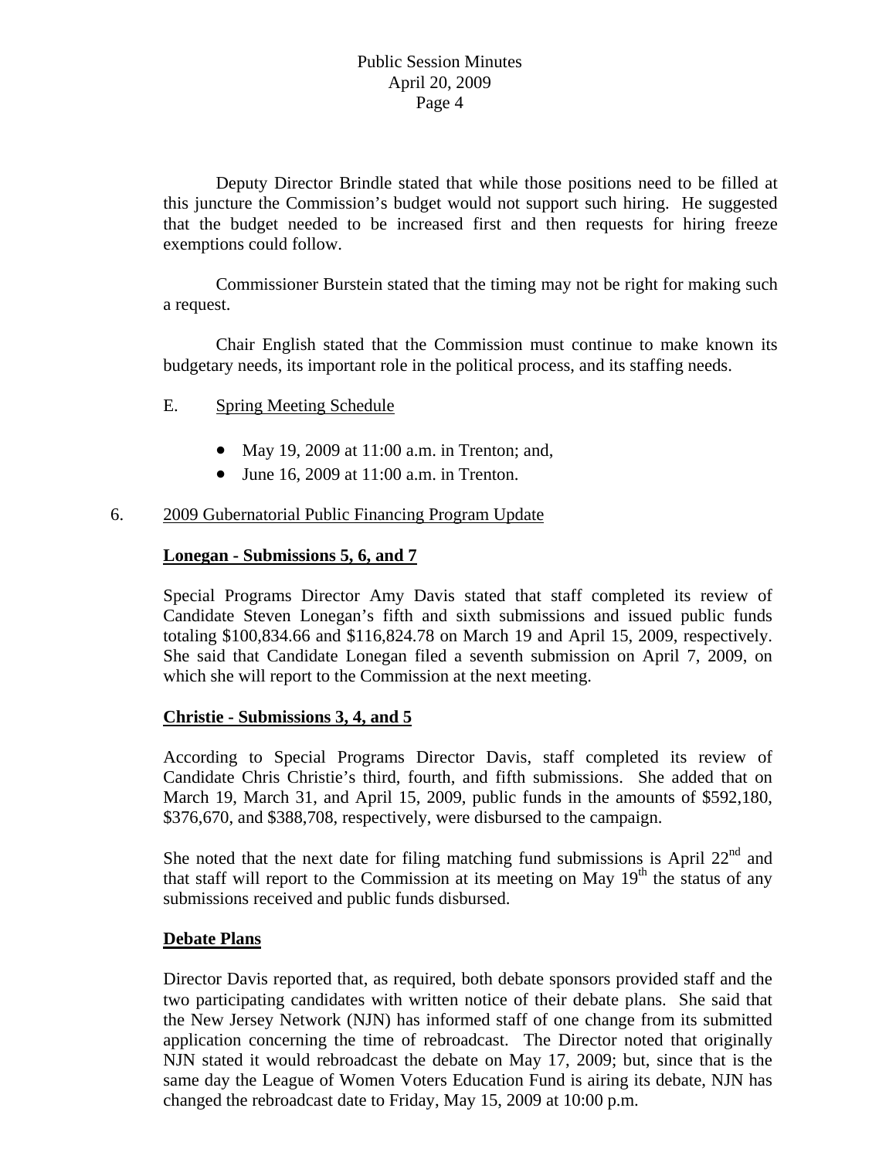Deputy Director Brindle stated that while those positions need to be filled at this juncture the Commission's budget would not support such hiring. He suggested that the budget needed to be increased first and then requests for hiring freeze exemptions could follow.

 Commissioner Burstein stated that the timing may not be right for making such a request.

 Chair English stated that the Commission must continue to make known its budgetary needs, its important role in the political process, and its staffing needs.

## E. Spring Meeting Schedule

- May 19, 2009 at 11:00 a.m. in Trenton; and,
- June 16, 2009 at 11:00 a.m. in Trenton.

## 6. 2009 Gubernatorial Public Financing Program Update

## **Lonegan - Submissions 5, 6, and 7**

Special Programs Director Amy Davis stated that staff completed its review of Candidate Steven Lonegan's fifth and sixth submissions and issued public funds totaling \$100,834.66 and \$116,824.78 on March 19 and April 15, 2009, respectively. She said that Candidate Lonegan filed a seventh submission on April 7, 2009, on which she will report to the Commission at the next meeting.

## **Christie - Submissions 3, 4, and 5**

According to Special Programs Director Davis, staff completed its review of Candidate Chris Christie's third, fourth, and fifth submissions. She added that on March 19, March 31, and April 15, 2009, public funds in the amounts of \$592,180, \$376,670, and \$388,708, respectively, were disbursed to the campaign.

She noted that the next date for filing matching fund submissions is April  $22<sup>nd</sup>$  and that staff will report to the Commission at its meeting on May  $19<sup>th</sup>$  the status of any submissions received and public funds disbursed.

## **Debate Plans**

Director Davis reported that, as required, both debate sponsors provided staff and the two participating candidates with written notice of their debate plans. She said that the New Jersey Network (NJN) has informed staff of one change from its submitted application concerning the time of rebroadcast. The Director noted that originally NJN stated it would rebroadcast the debate on May 17, 2009; but, since that is the same day the League of Women Voters Education Fund is airing its debate, NJN has changed the rebroadcast date to Friday, May 15, 2009 at 10:00 p.m.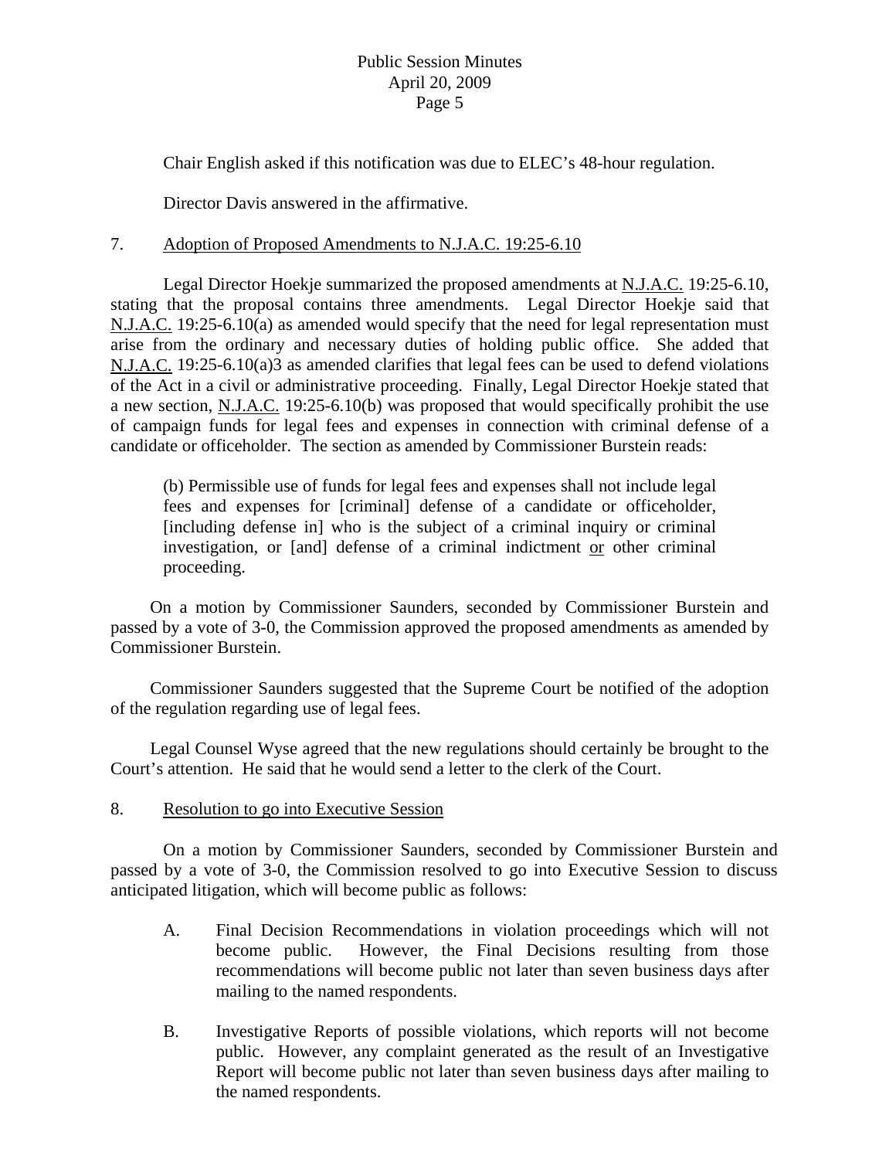## Public Session Minutes April 20, 2009 Page 5

Chair English asked if this notification was due to ELEC's 48-hour regulation.

Director Davis answered in the affirmative.

## 7. Adoption of Proposed Amendments to N.J.A.C. 19:25-6.10

 Legal Director Hoekje summarized the proposed amendments at N.J.A.C. 19:25-6.10, stating that the proposal contains three amendments. Legal Director Hoekje said that N.J.A.C. 19:25-6.10(a) as amended would specify that the need for legal representation must arise from the ordinary and necessary duties of holding public office. She added that N.J.A.C. 19:25-6.10(a)3 as amended clarifies that legal fees can be used to defend violations of the Act in a civil or administrative proceeding. Finally, Legal Director Hoekje stated that a new section, N.J.A.C. 19:25-6.10(b) was proposed that would specifically prohibit the use of campaign funds for legal fees and expenses in connection with criminal defense of a candidate or officeholder. The section as amended by Commissioner Burstein reads:

(b) Permissible use of funds for legal fees and expenses shall not include legal fees and expenses for [criminal] defense of a candidate or officeholder, [including defense in] who is the subject of a criminal inquiry or criminal investigation, or [and] defense of a criminal indictment or other criminal proceeding.

 On a motion by Commissioner Saunders, seconded by Commissioner Burstein and passed by a vote of 3-0, the Commission approved the proposed amendments as amended by Commissioner Burstein.

 Commissioner Saunders suggested that the Supreme Court be notified of the adoption of the regulation regarding use of legal fees.

 Legal Counsel Wyse agreed that the new regulations should certainly be brought to the Court's attention. He said that he would send a letter to the clerk of the Court.

## 8. Resolution to go into Executive Session

 On a motion by Commissioner Saunders, seconded by Commissioner Burstein and passed by a vote of 3-0, the Commission resolved to go into Executive Session to discuss anticipated litigation, which will become public as follows:

- A. Final Decision Recommendations in violation proceedings which will not become public. However, the Final Decisions resulting from those recommendations will become public not later than seven business days after mailing to the named respondents.
- B. Investigative Reports of possible violations, which reports will not become public. However, any complaint generated as the result of an Investigative Report will become public not later than seven business days after mailing to the named respondents.